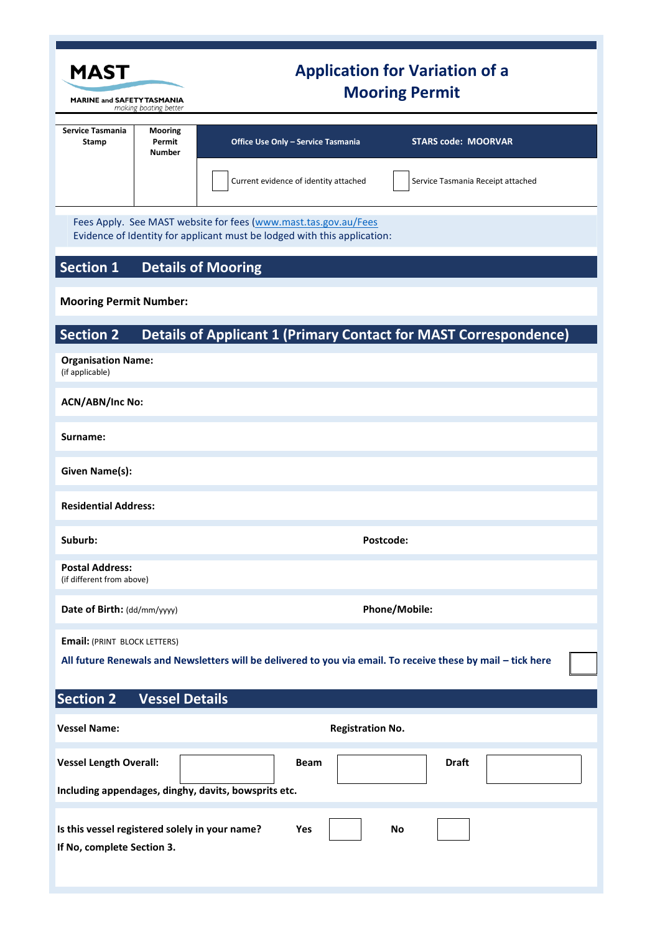| <b>MAST</b>                                                                                                                                       |                                              | <b>Application for Variation of a</b><br><b>Mooring Permit</b> |                                       |                         |                                                                         |  |
|---------------------------------------------------------------------------------------------------------------------------------------------------|----------------------------------------------|----------------------------------------------------------------|---------------------------------------|-------------------------|-------------------------------------------------------------------------|--|
| <b>MARINE and SAFETY TASMANIA</b><br>making boating better                                                                                        |                                              |                                                                |                                       |                         |                                                                         |  |
| <b>Service Tasmania</b><br>Stamp                                                                                                                  | <b>Mooring</b><br>Permit<br><b>Number</b>    |                                                                | Office Use Only - Service Tasmania    |                         | <b>STARS code: MOORVAR</b>                                              |  |
|                                                                                                                                                   |                                              |                                                                | Current evidence of identity attached |                         | Service Tasmania Receipt attached                                       |  |
| Fees Apply. See MAST website for fees (www.mast.tas.gov.au/Fees<br>Evidence of Identity for applicant must be lodged with this application:       |                                              |                                                                |                                       |                         |                                                                         |  |
| <b>Section 1</b>                                                                                                                                  |                                              | <b>Details of Mooring</b>                                      |                                       |                         |                                                                         |  |
| <b>Mooring Permit Number:</b>                                                                                                                     |                                              |                                                                |                                       |                         |                                                                         |  |
| <b>Section 2</b>                                                                                                                                  |                                              |                                                                |                                       |                         | <b>Details of Applicant 1 (Primary Contact for MAST Correspondence)</b> |  |
| <b>Organisation Name:</b><br>(if applicable)                                                                                                      |                                              |                                                                |                                       |                         |                                                                         |  |
| <b>ACN/ABN/Inc No:</b>                                                                                                                            |                                              |                                                                |                                       |                         |                                                                         |  |
| Surname:                                                                                                                                          |                                              |                                                                |                                       |                         |                                                                         |  |
| Given Name(s):                                                                                                                                    |                                              |                                                                |                                       |                         |                                                                         |  |
| <b>Residential Address:</b>                                                                                                                       |                                              |                                                                |                                       |                         |                                                                         |  |
| Suburb:                                                                                                                                           |                                              | Postcode:                                                      |                                       |                         |                                                                         |  |
| <b>Postal Address:</b><br>(if different from above)                                                                                               |                                              |                                                                |                                       |                         |                                                                         |  |
|                                                                                                                                                   | Date of Birth: (dd/mm/yyyy)<br>Phone/Mobile: |                                                                |                                       |                         |                                                                         |  |
| <b>Email: (PRINT BLOCK LETTERS)</b>                                                                                                               |                                              |                                                                |                                       |                         |                                                                         |  |
| All future Renewals and Newsletters will be delivered to you via email. To receive these by mail - tick here                                      |                                              |                                                                |                                       |                         |                                                                         |  |
| <b>Section 2</b>                                                                                                                                  | <b>Vessel Details</b>                        |                                                                |                                       |                         |                                                                         |  |
| <b>Vessel Name:</b>                                                                                                                               |                                              |                                                                |                                       | <b>Registration No.</b> |                                                                         |  |
| <b>Vessel Length Overall:</b>                                                                                                                     |                                              |                                                                | <b>Beam</b>                           |                         | Draft                                                                   |  |
| Including appendages, dinghy, davits, bowsprits etc.<br>Is this vessel registered solely in your name?<br>Yes<br>No<br>If No, complete Section 3. |                                              |                                                                |                                       |                         |                                                                         |  |